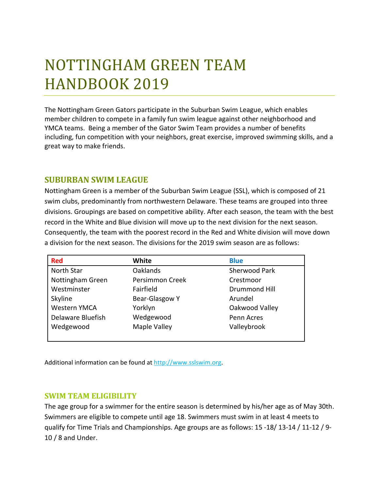# NOTTINGHAM GREEN TEAM HANDBOOK 2019

The Nottingham Green Gators participate in the Suburban Swim League, which enables member children to compete in a family fun swim league against other neighborhood and YMCA teams. Being a member of the Gator Swim Team provides a number of benefits including, fun competition with your neighbors, great exercise, improved swimming skills, and a great way to make friends.

# **SUBURBAN SWIM LEAGUE**

Nottingham Green is a member of the Suburban Swim League (SSL), which is composed of 21 swim clubs, predominantly from northwestern Delaware. These teams are grouped into three divisions. Groupings are based on competitive ability. After each season, the team with the best record in the White and Blue division will move up to the next division for the next season. Consequently, the team with the poorest record in the Red and White division will move down a division for the next season. The divisions for the 2019 swim season are as follows:

| <b>Red</b>        | White           | <b>Blue</b>          |
|-------------------|-----------------|----------------------|
| North Star        | <b>Oaklands</b> | Sherwood Park        |
| Nottingham Green  | Persimmon Creek | Crestmoor            |
| Westminster       | Fairfield       | <b>Drummond Hill</b> |
| Skyline           | Bear-Glasgow Y  | Arundel              |
| Western YMCA      | Yorklyn         | Oakwood Valley       |
| Delaware Bluefish | Wedgewood       | Penn Acres           |
| Wedgewood         | Maple Valley    | Valleybrook          |
|                   |                 |                      |

Additional information can be found a[t http://www.sslswim.org.](http://www.sslswim.org/)

#### **SWIM TEAM ELIGIBILITY**

The age group for a swimmer for the entire season is determined by his/her age as of May 30th. Swimmers are eligible to compete until age 18. Swimmers must swim in at least 4 meets to qualify for Time Trials and Championships. Age groups are as follows: 15 -18/ 13-14 / 11-12 / 9- 10 / 8 and Under.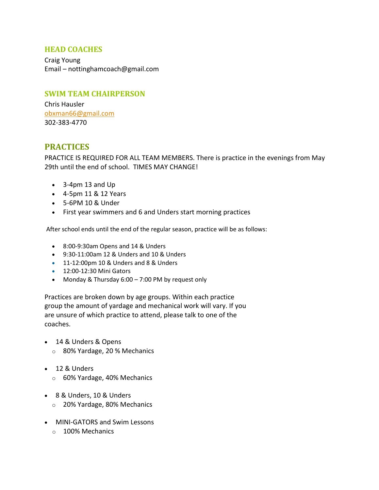#### **HEAD COACHES**

Craig Young Email – nottinghamcoach@gmail.com

#### **SWIM TEAM CHAIRPERSON**

Chris Hausler [obxman66@gmail.com](mailto:obxman66@gmail.com) 302-383-4770

# **PRACTICES**

PRACTICE IS REQUIRED FOR ALL TEAM MEMBERS. There is practice in the evenings from May 29th until the end of school. TIMES MAY CHANGE!

- 3-4pm 13 and Up
- 4-5pm 11 & 12 Years
- 5-6PM 10 & Under
- First year swimmers and 6 and Unders start morning practices

After school ends until the end of the regular season, practice will be as follows:

- 8:00-9:30am Opens and 14 & Unders
- 9:30-11:00am 12 & Unders and 10 & Unders
- 11-12:00pm 10 & Unders and 8 & Unders
- 12:00-12:30 Mini Gators
- Monday & Thursday 6:00 7:00 PM by request only

Practices are broken down by age groups. Within each practice group the amount of yardage and mechanical work will vary. If you are unsure of which practice to attend, please talk to one of the coaches.

- 14 & Unders & Opens
	- o 80% Yardage, 20 % Mechanics
- 12 & Unders
	- o 60% Yardage, 40% Mechanics
- 8 & Unders, 10 & Unders
	- o 20% Yardage, 80% Mechanics
- MINI-GATORS and Swim Lessons
	- o 100% Mechanics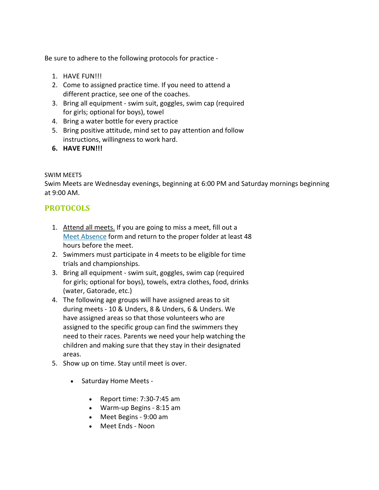Be sure to adhere to the following protocols for practice -

- 1. HAVE FUN!!!
- 2. Come to assigned practice time. If you need to attend a different practice, see one of the coaches.
- 3. Bring all equipment swim suit, goggles, swim cap (required for girls; optional for boys), towel
- 4. Bring a water bottle for every practice
- 5. Bring positive attitude, mind set to pay attention and follow instructions, willingness to work hard.
- **6. HAVE FUN!!!**

#### SWIM MEETS

Swim Meets are Wednesday evenings, beginning at 6:00 PM and Saturday mornings beginning at 9:00 AM.

## **PROTOCOLS**

- 1. Attend all meets. If you are going to miss a meet, fill out a [Meet Absence](http://www.nottinghamgators.com/files/Meet_Absence_Form.doc) form and return to the proper folder at least 48 hours before the meet.
- 2. Swimmers must participate in 4 meets to be eligible for time trials and championships.
- 3. Bring all equipment swim suit, goggles, swim cap (required for girls; optional for boys), towels, extra clothes, food, drinks (water, Gatorade, etc.)
- 4. The following age groups will have assigned areas to sit during meets - 10 & Unders, 8 & Unders, 6 & Unders. We have assigned areas so that those volunteers who are assigned to the specific group can find the swimmers they need to their races. Parents we need your help watching the children and making sure that they stay in their designated areas.
- 5. Show up on time. Stay until meet is over.
	- Saturday Home Meets
		- Report time: 7:30-7:45 am
		- Warm-up Begins 8:15 am
		- Meet Begins 9:00 am
		- Meet Ends Noon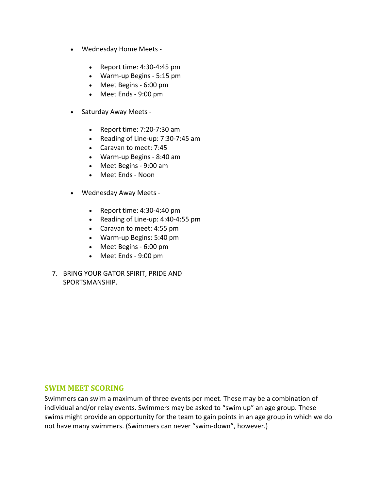- Wednesday Home Meets
	- Report time: 4:30-4:45 pm
	- Warm-up Begins 5:15 pm
	- Meet Begins 6:00 pm
	- Meet Ends 9:00 pm
- Saturday Away Meets
	- Report time: 7:20-7:30 am
	- Reading of Line-up: 7:30-7:45 am
	- Caravan to meet: 7:45
	- Warm-up Begins 8:40 am
	- Meet Begins 9:00 am
	- Meet Ends Noon
- Wednesday Away Meets
	- Report time: 4:30-4:40 pm
	- Reading of Line-up: 4:40-4:55 pm
	- Caravan to meet: 4:55 pm
	- Warm-up Begins: 5:40 pm
	- Meet Begins 6:00 pm
	- Meet Ends 9:00 pm
- 7. BRING YOUR GATOR SPIRIT, PRIDE AND SPORTSMANSHIP.

#### **SWIM MEET SCORING**

Swimmers can swim a maximum of three events per meet. These may be a combination of individual and/or relay events. Swimmers may be asked to "swim up" an age group. These swims might provide an opportunity for the team to gain points in an age group in which we do not have many swimmers. (Swimmers can never "swim-down", however.)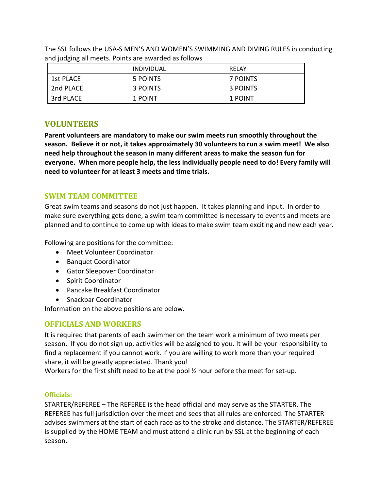|           | <i><b>INDIVIDUAL</b></i> | RELAY    |
|-----------|--------------------------|----------|
| 1st PLACE | 5 POINTS                 | 7 POINTS |
| 2nd PLACE | 3 POINTS                 | 3 POINTS |
| 3rd PLACE | 1 POINT                  | 1 POINT  |

The SSL follows the USA-S MEN'S AND WOMEN'S SWIMMING AND DIVING RULES in conducting and judging all meets. Points are awarded as follows

# **VOLUNTEERS**

**Parent volunteers are mandatory to make our swim meets run smoothly throughout the season. Believe it or not, it takes approximately 30 volunteers to run a swim meet! We also need help throughout the season in many different areas to make the season fun for everyone. When more people help, the less individually people need to do! Every family will need to volunteer for at least 3 meets and time trials.**

## **SWIM TEAM COMMITTEE**

Great swim teams and seasons do not just happen. It takes planning and input. In order to make sure everything gets done, a swim team committee is necessary to events and meets are planned and to continue to come up with ideas to make swim team exciting and new each year.

Following are positions for the committee:

- Meet Volunteer Coordinator
- Banquet Coordinator
- Gator Sleepover Coordinator
- Spirit Coordinator
- Pancake Breakfast Coordinator
- Snackbar Coordinator

Information on the above positions are below.

# **OFFICIALS AND WORKERS**

It is required that parents of each swimmer on the team work a minimum of two meets per season. If you do not sign up, activities will be assigned to you. It will be your responsibility to find a replacement if you cannot work. If you are willing to work more than your required share, it will be greatly appreciated. Thank you!

Workers for the first shift need to be at the pool ½ hour before the meet for set-up.

#### **Officials:**

STARTER/REFEREE – The REFEREE is the head official and may serve as the STARTER. The REFEREE has full jurisdiction over the meet and sees that all rules are enforced. The STARTER advises swimmers at the start of each race as to the stroke and distance. The STARTER/REFEREE is supplied by the HOME TEAM and must attend a clinic run by SSL at the beginning of each season.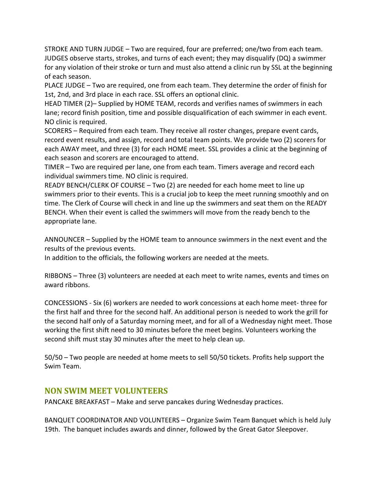STROKE AND TURN JUDGE – Two are required, four are preferred; one/two from each team. JUDGES observe starts, strokes, and turns of each event; they may disqualify (DQ) a swimmer for any violation of their stroke or turn and must also attend a clinic run by SSL at the beginning of each season.

PLACE JUDGE – Two are required, one from each team. They determine the order of finish for 1st, 2nd, and 3rd place in each race. SSL offers an optional clinic.

HEAD TIMER (2)– Supplied by HOME TEAM, records and verifies names of swimmers in each lane; record finish position, time and possible disqualification of each swimmer in each event. NO clinic is required.

SCORERS – Required from each team. They receive all roster changes, prepare event cards, record event results, and assign, record and total team points. We provide two (2) scorers for each AWAY meet, and three (3) for each HOME meet. SSL provides a clinic at the beginning of each season and scorers are encouraged to attend.

TIMER – Two are required per lane, one from each team. Timers average and record each individual swimmers time. NO clinic is required.

READY BENCH/CLERK OF COURSE – Two (2) are needed for each home meet to line up swimmers prior to their events. This is a crucial job to keep the meet running smoothly and on time. The Clerk of Course will check in and line up the swimmers and seat them on the READY BENCH. When their event is called the swimmers will move from the ready bench to the appropriate lane.

ANNOUNCER – Supplied by the HOME team to announce swimmers in the next event and the results of the previous events.

In addition to the officials, the following workers are needed at the meets.

RIBBONS – Three (3) volunteers are needed at each meet to write names, events and times on award ribbons.

CONCESSIONS - Six (6) workers are needed to work concessions at each home meet- three for the first half and three for the second half. An additional person is needed to work the grill for the second half only of a Saturday morning meet, and for all of a Wednesday night meet. Those working the first shift need to 30 minutes before the meet begins. Volunteers working the second shift must stay 30 minutes after the meet to help clean up.

50/50 – Two people are needed at home meets to sell 50/50 tickets. Profits help support the Swim Team.

# **NON SWIM MEET VOLUNTEERS**

PANCAKE BREAKFAST – Make and serve pancakes during Wednesday practices.

BANQUET COORDINATOR AND VOLUNTEERS – Organize Swim Team Banquet which is held July 19th. The banquet includes awards and dinner, followed by the Great Gator Sleepover.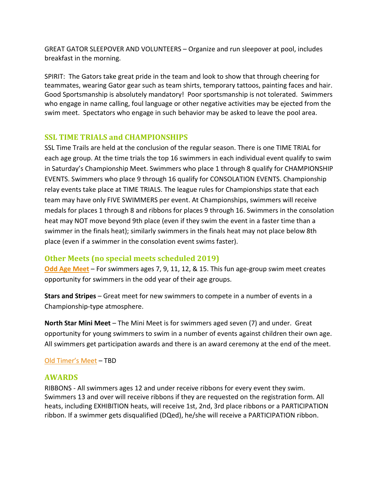GREAT GATOR SLEEPOVER AND VOLUNTEERS – Organize and run sleepover at pool, includes breakfast in the morning.

SPIRIT: The Gators take great pride in the team and look to show that through cheering for teammates, wearing Gator gear such as team shirts, temporary tattoos, painting faces and hair. Good Sportsmanship is absolutely mandatory! Poor sportsmanship is not tolerated. Swimmers who engage in name calling, foul language or other negative activities may be ejected from the swim meet. Spectators who engage in such behavior may be asked to leave the pool area.

## **SSL TIME TRIALS and CHAMPIONSHIPS**

SSL Time Trails are held at the conclusion of the regular season. There is one TIME TRIAL for each age group. At the time trials the top 16 swimmers in each individual event qualify to swim in Saturday's Championship Meet. Swimmers who place 1 through 8 qualify for CHAMPIONSHIP EVENTS. Swimmers who place 9 through 16 qualify for CONSOLATION EVENTS. Championship relay events take place at TIME TRIALS. The league rules for Championships state that each team may have only FIVE SWIMMERS per event. At Championships, swimmers will receive medals for places 1 through 8 and ribbons for places 9 through 16. Swimmers in the consolation heat may NOT move beyond 9th place (even if they swim the event in a faster time than a swimmer in the finals heat); similarly swimmers in the finals heat may not place below 8th place (even if a swimmer in the consolation event swims faster).

## **Other Meets (no special meets scheduled 2019)**

**[Odd Age Meet](http://www.sslswim.org/documents/Odd%20Age%202014.pdf)** – For swimmers ages 7, 9, 11, 12, & 15. This fun age-group swim meet creates opportunity for swimmers in the odd year of their age groups.

**Stars and Stripes** – Great meet for new swimmers to compete in a number of events in a Championship-type atmosphere.

**North Star Mini Meet** – The Mini Meet is for swimmers aged seven (7) and under. Great opportunity for young swimmers to swim in a number of events against children their own age. All swimmers get participation awards and there is an award ceremony at the end of the meet.

#### [Old Timer's Meet](http://www.sslswim.org/documents/OT%202014%20Flyer.pdf) – TBD

## **AWARDS**

RIBBONS - All swimmers ages 12 and under receive ribbons for every event they swim. Swimmers 13 and over will receive ribbons if they are requested on the registration form. All heats, including EXHIBITION heats, will receive 1st, 2nd, 3rd place ribbons or a PARTICIPATION ribbon. If a swimmer gets disqualified (DQed), he/she will receive a PARTICIPATION ribbon.